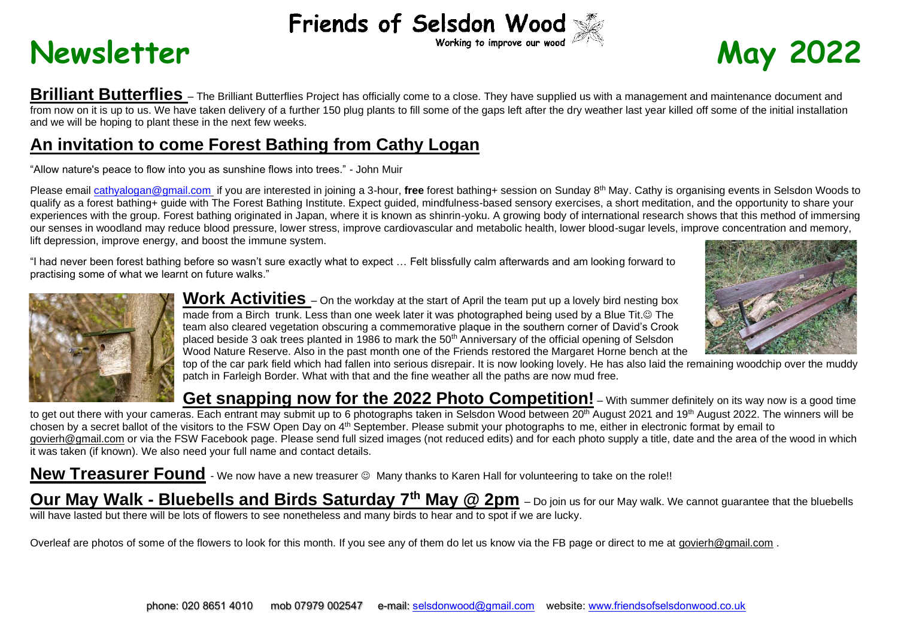## Friends of Selsdon Wood

## Newsletter **May** 2022



**Brilliant Butterflies** – The Brilliant Butterflies Project has officially come to a close. They have supplied us with a management and maintenance document and from now on it is up to us. We have taken delivery of a further 150 plug plants to fill some of the gaps left after the dry weather last year killed off some of the initial installation and we will be hoping to plant these in the next few weeks.

## **An invitation to come Forest Bathing from Cathy Logan**

"Allow nature's peace to flow into you as sunshine flows into trees." - John Muir

Please email [cathyalogan@gmail.com](mailto:cathyalogan@gmail.com) if you are interested in joining a 3-hour, **free** forest bathing+ session on Sunday 8th May. Cathy is organising events in Selsdon Woods to qualify as a forest bathing+ guide with The Forest Bathing Institute. Expect guided, mindfulness-based sensory exercises, a short meditation, and the opportunity to share your experiences with the group. Forest bathing originated in Japan, where it is known as shinrin-yoku. A growing body of international research shows that this method of immersing our senses in woodland may reduce blood pressure, lower stress, improve cardiovascular and metabolic health, lower blood-sugar levels, improve concentration and memory, lift depression, improve energy, and boost the immune system.

"I had never been forest bathing before so wasn't sure exactly what to expect … Felt blissfully calm afterwards and am looking forward to practising some of what we learnt on future walks."



Work Activities – On the workday at the start of April the team put up a lovely bird nesting box made from a Birch trunk. Less than one week later it was photographed being used by a Blue Tit.© The team also cleared vegetation obscuring a commemorative plaque in the southern corner of David's Crook placed beside 3 oak trees planted in 1986 to mark the 50<sup>th</sup> Anniversary of the official opening of Selsdon Wood Nature Reserve. Also in the past month one of the Friends restored the Margaret Horne bench at the



top of the car park field which had fallen into serious disrepair. It is now looking lovely. He has also laid the remaining woodchip over the muddy patch in Farleigh Border. What with that and the fine weather all the paths are now mud free.

**Get snapping now for the 2022 Photo Competition!** – With summer definitely on its way now is a good time to get out there with your cameras. Each entrant may submit up to 6 photographs taken in Selsdon Wood between 20<sup>th</sup> August 2021 and 19<sup>th</sup> August 2022. The winners will be chosen by a secret ballot of the visitors to the FSW Open Day on 4<sup>th</sup> September. Please submit your photographs to me, either in electronic format by email to [govierh@gmail.com](mailto:govierh@gmail.com) or via the FSW Facebook page. Please send full sized images (not reduced edits) and for each photo supply a title, date and the area of the wood in which it was taken (if known). We also need your full name and contact details.

**New Treasurer Found** - We now have a new treasurer  $\circledcirc$  Many thanks to Karen Hall for volunteering to take on the role!!

**Our May Walk - Bluebells and Birds Saturday 7th May @ 2pm** – Do join us for our May walk. We cannot guarantee that the bluebells will have lasted but there will be lots of flowers to see nonetheless and many birds to hear and to spot if we are lucky.

Overleaf are photos of some of the flowers to look for this month. If you see any of them do let us know via the FB page or direct to me at [govierh@gmail.com](mailto:govierh@gmail.com) .